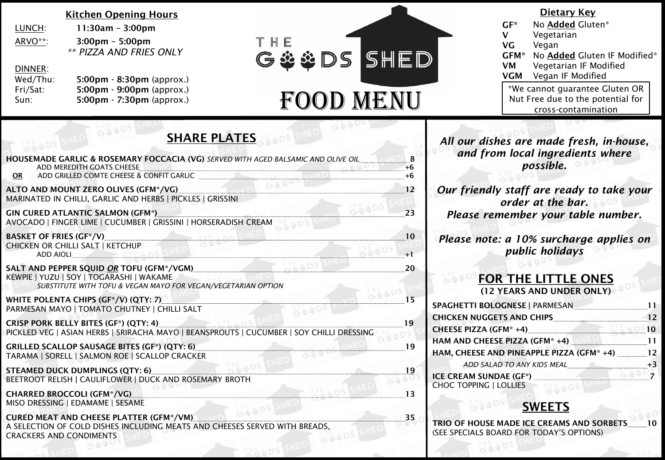#### Kitchen Opening Hours

| LUNCH:  | $11:30am - 3:00pm$                |
|---------|-----------------------------------|
| ARVO**: | $3:00 \text{pm} - 5:00 \text{pm}$ |
|         | $**$ DIZZA ANIO FOIFC             |

5:00pm *\*\* PIZZA AND FRIES ONLY*

| DINNER:  |                                                 |
|----------|-------------------------------------------------|
| Wed/Thu: | $5:00 \text{pm} \cdot 8:30 \text{pm}$ (approx.) |
| Fri/Sat: | $5:00 \text{pm}$ - 9:00pm (approx.)             |
| Sun:     | 5:00pm - 7:30pm (approx.)                       |

G&&DS



#### Dietary Key

| GF*  | No Added Gluten*                  |  |
|------|-----------------------------------|--|
| v    | Vegetarian                        |  |
| VG   | Vegan                             |  |
| GFM* | No Added Gluten IF Modified*      |  |
| VM   | Vegetarian IF Modified            |  |
| VGM  | Vegan IF Modified                 |  |
|      | *We cannot guarantee Gluten OR    |  |
|      | Nut Free due to the potential for |  |
|      | cross-contamination               |  |

## SHARE PLATES

| <b>HOUSEMADE GARLIC &amp; ROSEMARY FOCCACIA (VG)</b> SERVED WITH AGED BALSAMIC AND OLIVE OIL<br>ADD MEREDITH GOATS CHEESE                                      | 8<br>$+6$ |
|----------------------------------------------------------------------------------------------------------------------------------------------------------------|-----------|
| ADD GRILLED COMTE CHEESE & CONFIT GARLIC<br><b>OR</b>                                                                                                          | $+6$      |
| ALTO AND MOUNT ZERO OLIVES (GFM*/VG)<br>MARINATED IN CHILLI, GARLIC AND HERBS   PICKLES   GRISSINI                                                             | 12        |
| <b>GIN CURED ATLANTIC SALMON (GFM*)</b><br>AVOCADO   FINGER LIME   CUCUMBER   GRISSINI   HORSERADISH CREAM                                                     | 23        |
| <b>BASKET OF FRIES (GF*/V)</b>                                                                                                                                 | 10        |
| CHICKEN OR CHILLI SALT   KETCHUP<br><b>ADD AIOLI</b>                                                                                                           | $+1$      |
| SALT AND PEPPER SQUID OR TOFU (GFM*/VGM)<br>KEWPIE   YUZU   SOY   TOGARASHI   WAKAME<br>SUBSTITUTE WITH TOFU & VEGAN MAYO FOR VEGAN/VEGETARIAN OPTION          | 20        |
| WHITE POLENTA CHIPS (GF*/V) (QTY: 7)<br>PARMESAN MAYO   TOMATO CHUTNEY   CHILLI SALT                                                                           | 15        |
| <b>CRISP PORK BELLY BITES (GF*) (QTY: 4)</b><br>PICKLED VEG   ASIAN HERBS   SRIRACHA MAYO   BEANSPROUTS   CUCUMBER   SOY CHILLI DRESSING                       | 19        |
| <b>GRILLED SCALLOP SAUSAGE BITES (GF*) (QTY: 6)</b><br>TARAMA   SORELL   SALMON ROE   SCALLOP CRACKER                                                          | 19        |
| <b>STEAMED DUCK DUMPLINGS (QTY: 6)</b><br>BEETROOT RELISH   CAULIFLOWER   DUCK AND ROSEMARY BROTH                                                              | 19        |
| <b>CHARRED BROCCOLI (GFM*/VG)</b><br>MISO DRESSING   EDAMAME   SESAME                                                                                          | 13        |
| <b>CURED MEAT AND CHEESE PLATTER (GFM*/VM)</b><br>A SELECTION OF COLD DISHES INCLUDING MEATS AND CHEESES SERVED WITH BREADS.<br><b>CRACKERS AND CONDIMENTS</b> | 35        |
|                                                                                                                                                                |           |

*All our dishes are made fresh, in-house, and from local ingredients where possible.* 

*Our friendly staff are ready to take your order at the bar. Please remember your table number.*

*Please note: a 10% surcharge applies on public holidays* 

## FOR THE LITTLE ONES

(12 YEARS AND UNDER ONLY)

| <b>SPAGHETTI BOLOGNESE   PARMESAN</b>     |  |
|-------------------------------------------|--|
| <b>CHICKEN NUGGETS AND CHIPS</b>          |  |
| <b>CHEESE PIZZA (GFM*+4)</b>              |  |
| HAM AND CHEESE PIZZA (GFM* +4)            |  |
| HAM, CHEESE AND PINEAPPLE PIZZA (GFM* +4) |  |
| ADD SALAD TO ANY KIDS MEAL                |  |
| <b>ICE CREAM SUNDAE (GF*)</b>             |  |
| <b>CHOC TOPPING   LOLLIES</b>             |  |
|                                           |  |

### SWEETS

TRIO OF HOUSE MADE ICE CREAMS AND SORBETS 10 (SEE SPECIALS BOARD FOR TODAY'S OPTIONS)

 $G88D^3$